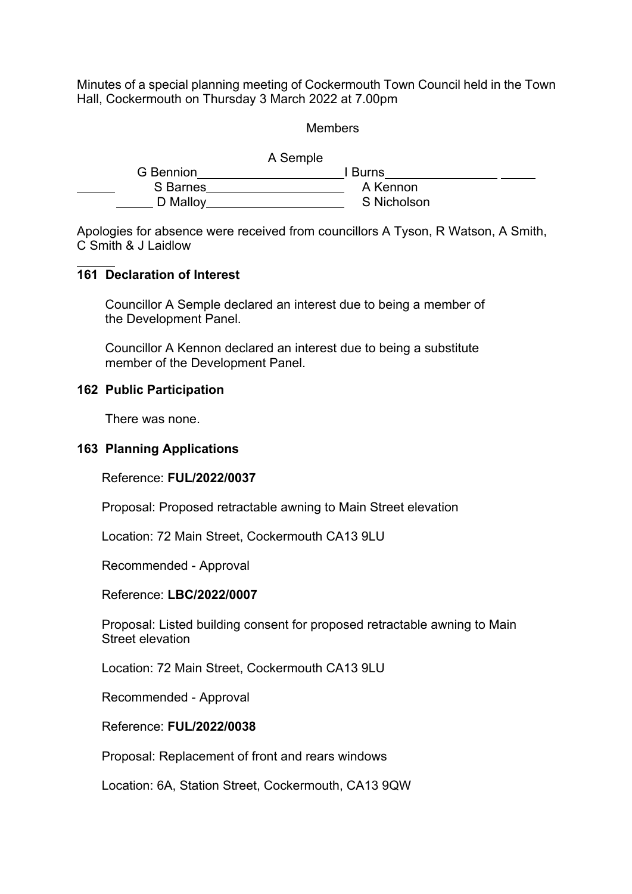Minutes of a special planning meeting of Cockermouth Town Council held in the Town Hall, Cockermouth on Thursday 3 March 2022 at 7.00pm

## Members

| A Semple  |             |  |
|-----------|-------------|--|
| G Bennion | I Burns     |  |
| S Barnes  | A Kennon    |  |
| D Malloy  | S Nicholson |  |

Apologies for absence were received from councillors A Tyson, R Watson, A Smith, C Smith & J Laidlow

## **161 Declaration of Interest**

Councillor A Semple declared an interest due to being a member of the Development Panel.

 Councillor A Kennon declared an interest due to being a substitute member of the Development Panel.

## **162 Public Participation**

There was none.

## **163 Planning Applications**

Reference: **FUL/2022/0037**

Proposal: Proposed retractable awning to Main Street elevation

Location: 72 Main Street, Cockermouth CA13 9LU

Recommended - Approval

Reference: **LBC/2022/0007**

 Proposal: Listed building consent for proposed retractable awning to Main Street elevation

Location: 72 Main Street, Cockermouth CA13 9LU

Recommended - Approval

Reference: **FUL/2022/0038**

Proposal: Replacement of front and rears windows

Location: 6A, Station Street, Cockermouth, CA13 9QW